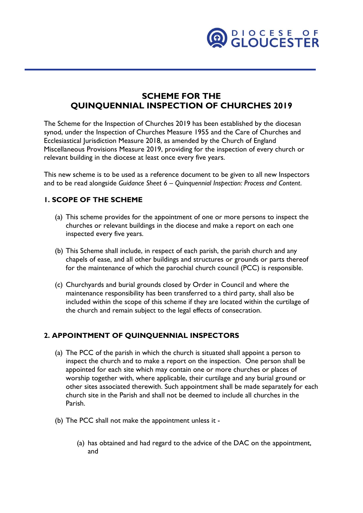

# **SCHEME FOR THE QUINQUENNIAL INSPECTION OF CHURCHES 2019**

The Scheme for the Inspection of Churches 2019 has been established by the diocesan synod, under the Inspection of Churches Measure 1955 and the Care of Churches and Ecclesiastical Jurisdiction Measure 2018, as amended by the Church of England Miscellaneous Provisions Measure 2019, providing for the inspection of every church or relevant building in the diocese at least once every five years.

This new scheme is to be used as a reference document to be given to all new Inspectors and to be read alongside *Guidance Sheet 6 – Quinquennial Inspection: Process and Content*.

### **1. SCOPE OF THE SCHEME**

- (a) This scheme provides for the appointment of one or more persons to inspect the churches or relevant buildings in the diocese and make a report on each one inspected every five years.
- (b) This Scheme shall include, in respect of each parish, the parish church and any chapels of ease, and all other buildings and structures or grounds or parts thereof for the maintenance of which the parochial church council (PCC) is responsible.
- (c) Churchyards and burial grounds closed by Order in Council and where the maintenance responsibility has been transferred to a third party, shall also be included within the scope of this scheme if they are located within the curtilage of the church and remain subject to the legal effects of consecration.

#### **2. APPOINTMENT OF QUINQUENNIAL INSPECTORS**

- (a) The PCC of the parish in which the church is situated shall appoint a person to inspect the church and to make a report on the inspection. One person shall be appointed for each site which may contain one or more churches or places of worship together with, where applicable, their curtilage and any burial ground or other sites associated therewith. Such appointment shall be made separately for each church site in the Parish and shall not be deemed to include all churches in the Parish.
- (b) The PCC shall not make the appointment unless it
	- (a) has obtained and had regard to the advice of the DAC on the appointment, and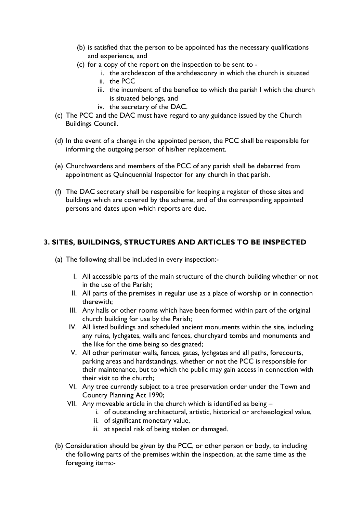- (b) is satisfied that the person to be appointed has the necessary qualifications and experience, and
- (c) for a copy of the report on the inspection to be sent to
	- i. the archdeacon of the archdeaconry in which the church is situated ii. the PCC
	- iii. the incumbent of the benefice to which the parish I which the church is situated belongs, and
	- iv. the secretary of the DAC.
- (c) The PCC and the DAC must have regard to any guidance issued by the Church Buildings Council.
- (d) In the event of a change in the appointed person, the PCC shall be responsible for informing the outgoing person of his/her replacement.
- (e) Churchwardens and members of the PCC of any parish shall be debarred from appointment as Quinquennial Inspector for any church in that parish.
- (f) The DAC secretary shall be responsible for keeping a register of those sites and buildings which are covered by the scheme, and of the corresponding appointed persons and dates upon which reports are due.

### **3. SITES, BUILDINGS, STRUCTURES AND ARTICLES TO BE INSPECTED**

- (a) The following shall be included in every inspection:-
	- I. All accessible parts of the main structure of the church building whether or not in the use of the Parish;
	- II. All parts of the premises in regular use as a place of worship or in connection therewith;
	- III. Any halls or other rooms which have been formed within part of the original church building for use by the Parish;
	- IV. All listed buildings and scheduled ancient monuments within the site, including any ruins, lychgates, walls and fences, churchyard tombs and monuments and the like for the time being so designated;
	- V. All other perimeter walls, fences, gates, lychgates and all paths, forecourts, parking areas and hardstandings, whether or not the PCC is responsible for their maintenance, but to which the public may gain access in connection with their visit to the church;
	- VI. Any tree currently subject to a tree preservation order under the Town and Country Planning Act 1990;
	- VII. Any moveable article in the church which is identified as being
		- i. of outstanding architectural, artistic, historical or archaeological value,
		- ii. of significant monetary value,
		- iii. at special risk of being stolen or damaged.
- (b) Consideration should be given by the PCC, or other person or body, to including the following parts of the premises within the inspection, at the same time as the foregoing items:-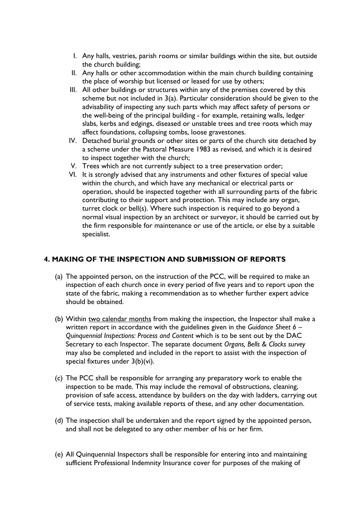- I. Any halls, vestries, parish rooms or similar buildings within the site, but outside the church building;
- II. Any halls or other accommodation within the main church building containing the place of worship but licensed or leased for use by others;
- III. All other buildings or structures within any of the premises covered by this scheme but not included in 3(a). Particular consideration should be given to the advisability of inspecting any such parts which may affect safety of persons or the well-being of the principal building - for example, retaining walls, ledger slabs, kerbs and edgings, diseased or unstable trees and tree roots which may affect foundations, collapsing tombs, loose gravestones.
- IV. Detached burial grounds or other sites or parts of the church site detached by a scheme under the Pastoral Measure 1983 as revised, and which it is desired to inspect together with the church;
- V. Trees which are not currently subject to a tree preservation order;
- VI. It is strongly advised that any instruments and other fixtures of special value within the church, and which have any mechanical or electrical parts or operation, should be inspected together with all surrounding parts of the fabric contributing to their support and protection. This may include any organ, turret clock or bell(s). Where such inspection is required to go beyond a normal visual inspection by an architect or surveyor, it should be carried out by the firm responsible for maintenance or use of the article, or else by a suitable specialist.

### **4. MAKING OF THE INSPECTION AND SUBMISSION OF REPORTS**

- (a) The appointed person, on the instruction of the PCC, will be required to make an inspection of each church once in every period of five years and to report upon the state of the fabric, making a recommendation as to whether further expert advice should be obtained.
- (b) Within two calendar months from making the inspection, the Inspector shall make a written report in accordance with the guidelines given in the *Guidance Sheet 6 – Quinquennial Inspections: Process and Content* which is to be sent out by the DAC Secretary to each Inspector. The separate document *Organs, Bells & Clocks survey* may also be completed and included in the report to assist with the inspection of special fixtures under 3(b)(vi).
- (c) The PCC shall be responsible for arranging any preparatory work to enable the inspection to be made. This may include the removal of obstructions, cleaning, provision of safe access, attendance by builders on the day with ladders, carrying out of service tests, making available reports of these, and any other documentation.
- (d) The inspection shall be undertaken and the report signed by the appointed person, and shall not be delegated to any other member of his or her firm.
- (e) All Quinquennial Inspectors shall be responsible for entering into and maintaining sufficient Professional Indemnity Insurance cover for purposes of the making of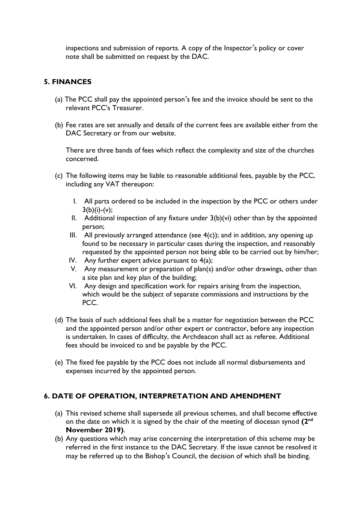inspections and submission of reports. A copy of the Inspector's policy or cover note shall be submitted on request by the DAC.

## **5. FINANCES**

- (a) The PCC shall pay the appointed person's fee and the invoice should be sent to the relevant PCC's Treasurer.
- (b) Fee rates are set annually and details of the current fees are available either from the DAC Secretary or from our website.

There are three bands of fees which reflect the complexity and size of the churches concerned.

- (c) The following items may be liable to reasonable additional fees, payable by the PCC, including any VAT thereupon:
	- I. All parts ordered to be included in the inspection by the PCC or others under  $3(b)(i)-(v);$
	- II. Additional inspection of any fixture under  $3(b)(vi)$  other than by the appointed person;
	- III. All previously arranged attendance (see  $4(c)$ ); and in addition, any opening up found to be necessary in particular cases during the inspection, and reasonably requested by the appointed person not being able to be carried out by him/her;
	- IV. Any further expert advice pursuant to 4(a);
	- V. Any measurement or preparation of plan(s) and/or other drawings, other than a site plan and key plan of the building;
	- VI. Any design and specification work for repairs arising from the inspection, which would be the subject of separate commissions and instructions by the PCC.
- (d) The basis of such additional fees shall be a matter for negotiation between the PCC and the appointed person and/or other expert or contractor, before any inspection is undertaken. In cases of difficulty, the Archdeacon shall act as referee. Additional fees should be invoiced to and be payable by the PCC.
- (e) The fixed fee payable by the PCC does not include all normal disbursements and expenses incurred by the appointed person.

### **6. DATE OF OPERATION, INTERPRETATION AND AMENDMENT**

- (a) This revised scheme shall supersede all previous schemes, and shall become effective on the date on which it is signed by the chair of the meeting of diocesan synod (2<sup>nd</sup> **November 2019)**.
- (b) Any questions which may arise concerning the interpretation of this scheme may be referred in the first instance to the DAC Secretary. If the issue cannot be resolved it may be referred up to the Bishop's Council, the decision of which shall be binding.